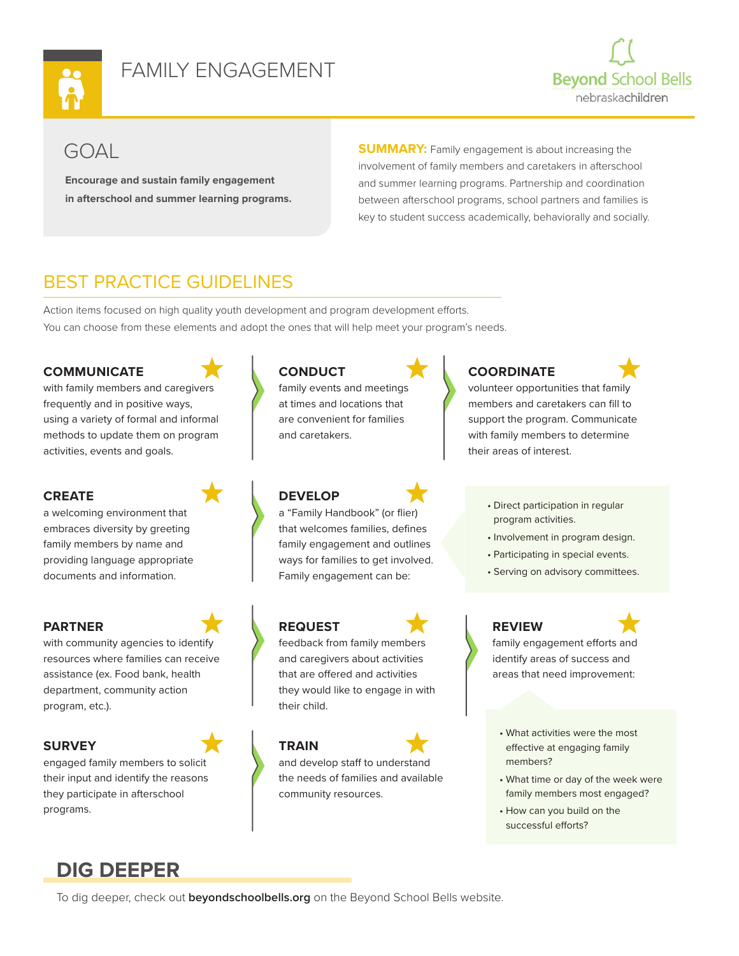

# FAMILY ENGAGEMENT



# GOAL

**Encourage and sustain family engagement in afterschool and summer learning programs.**  **SUMMARY:** Family engagement is about increasing the involvement of family members and caretakers in afterschool and summer learning programs. Partnership and coordination between afterschool programs, school partners and families is key to student success academically, behaviorally and socially.

# BEST PRACTICE GUIDELINES

Action items focused on high quality youth development and program development efforts. You can choose from these elements and adopt the ones that will help meet your program's needs.

## **COMMUNICATE**

with family members and caregivers frequently and in positive ways, using a variety of formal and informal methods to update them on program activities, events and goals.

### **CREATE**

a welcoming environment that embraces diversity by greeting family members by name and providing language appropriate documents and information.

### **PARTNER**

with community agencies to identify resources where families can receive assistance (ex. Food bank, health department, community action program, etc.).

## **SURVEY**

engaged family members to solicit their input and identify the reasons they participate in afterschool programs.

**CONDUCT** family events and meetings at times and locations that are convenient for families and caretakers.

## **DEVELOP**

a "Family Handbook" (or flier) that welcomes families, defines family engagement and outlines ways for families to get involved. Family engagement can be:

## **REQUEST**

feedback from family members and caregivers about activities that are offered and activities they would like to engage in with their child.

### **TRAIN**

and develop staff to understand the needs of families and available community resources.

# **COORDINATE**



volunteer opportunities that family members and caretakers can fill to support the program. Communicate with family members to determine their areas of interest.

- Direct participation in regular program activities.
- Involvement in program design.
- Participating in special events.
- Serving on advisory committees.

## **REVIEW**

family engagement efforts and identify areas of success and areas that need improvement:

- What activities were the most effective at engaging family members?
- What time or day of the week were family members most engaged?
- How can you build on the successful efforts?

# **DIG DEEPER**

To dig deeper, check out **beyondschoolbells.org** on the Beyond School Bells website.